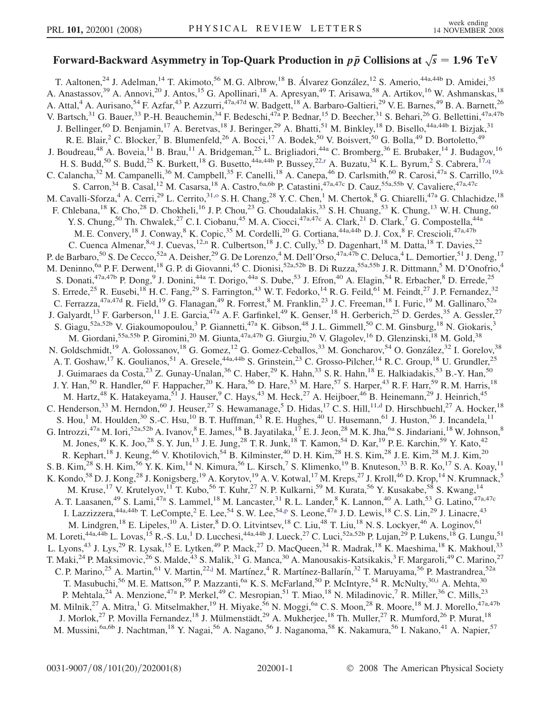## Forward-Backward Asymmetry in Top-Quark Production in  $p\bar{p}$  Collisions at  $\sqrt{s} = 1.96 \text{ TeV}$

T. Aaltonen,<sup>24</sup> J. Adelman,<sup>14</sup> T. Akimoto,<sup>56</sup> M. G. Albrow,<sup>18</sup> B. Álvarez González,<sup>12</sup> S. Amerio,<sup>44a,44b</sup> D. Amidei,<sup>35</sup> A. Anastassov,<sup>39</sup> A. Annovi,<sup>20</sup> J. Antos,<sup>15</sup> G. Apollinari,<sup>18</sup> A. Apresyan,<sup>49</sup> T. Arisawa,<sup>58</sup> A. Artikov,<sup>16</sup> W. Ashmanskas,<sup>18</sup> A. Attal,<sup>4</sup> A. Aurisano,<sup>54</sup> F. Azfar,<sup>43</sup> P. Azzurri,<sup>47a,47d</sup> W. Badgett,<sup>18</sup> A. Barbaro-Galtieri,<sup>29</sup> V. E. Barnes,<sup>49</sup> B. A. Barnett,<sup>26</sup> V. Bartsch,<sup>31</sup> G. Bauer,<sup>33</sup> P.-H. Beauchemin,<sup>34</sup> F. Bedeschi,<sup>47a</sup> P. Bednar,<sup>15</sup> D. Beecher,<sup>31</sup> S. Behari,<sup>26</sup> G. Bellettini,<sup>47a,47b</sup> J. Bellinger,<sup>60</sup> D. Benjamin,<sup>17</sup> A. Beretvas,<sup>18</sup> J. Beringer,<sup>29</sup> A. Bhatti,<sup>51</sup> M. Binkley,<sup>18</sup> D. Bisello,<sup>44a,44b</sup> I. Bizjak,<sup>31</sup> R. E. Blair,<sup>2</sup> C. Blocker,<sup>7</sup> B. Blumenfeld,<sup>26</sup> A. Bocci,<sup>17</sup> A. Bodek,<sup>50</sup> V. Boisvert,<sup>50</sup> G. Bolla,<sup>49</sup> D. Bortoletto,<sup>49</sup> J. Boudreau,<sup>48</sup> A. Boveia,<sup>11</sup> B. Brau,<sup>11</sup> A. Bridgeman,<sup>25</sup> L. Brigliadori,<sup>44a</sup> C. Bromberg,<sup>36</sup> E. Brubaker,<sup>14</sup> J. Budagov,<sup>16</sup> H. S. Budd,<sup>50</sup> S. Budd,<sup>25</sup> K. Bu[r](#page-6-0)kett,<sup>18</sup> G. Busetto,<sup>44a,44b</sup> P. Bussey,<sup>22,r</sup> A. Buzatu,<sup>34</sup> K. L. Byrum,<sup>2</sup> S. Cabrera,<sup>17[,q](#page-6-0)</sup> C. Calancha,<sup>32</sup> M. Campanelli,<sup>36</sup> M. Campbell,<sup>35</sup> F. Canelli,<sup>18</sup> A. Canepa,<sup>46</sup> D. Carlsmith,<sup>60</sup> R. Carosi,<sup>47a</sup> S. Carrillo,<sup>19[,k](#page-6-0)</sup> S. Carron,<sup>34</sup> B. Casal,<sup>12</sup> M. Casarsa,<sup>18</sup> A. Castro,<sup>6a,6b</sup> P. Catastini,<sup>47a,47c</sup> D. Cauz,<sup>55a,55b</sup> V. Cavaliere,<sup>47a,47c</sup> M. Cavalli-Sforza,<sup>4</sup> A. Cerri,<sup>29</sup> L. Cerrito,<sup>31,0</sup> S. H. Chang,<sup>28</sup> Y. C. Chen,<sup>1</sup> M. Chertok,<sup>8</sup> G. Chiarelli,<sup>47a</sup> G. Chlachidze,<sup>18</sup> F. Chlebana,<sup>18</sup> K. Cho,<sup>28</sup> D. Chokheli,<sup>16</sup> J. P. Chou,<sup>23</sup> G. Choudalakis,<sup>33</sup> S. H. Chuang,<sup>53</sup> K. Chung,<sup>13</sup> W. H. Chung,<sup>60</sup> Y. S. Chung,<sup>50</sup> Th. Chwalek,<sup>27</sup> C. I. Ciobanu,<sup>45</sup> M. A. Ciocci,<sup>47a,47c</sup> A. Clark,<sup>21</sup> D. Clark,<sup>7</sup> G. Compostella,<sup>44a</sup> M. E. Convery,<sup>18</sup> J. Conway,<sup>8</sup> K. Copic,<sup>35</sup> M. Cordelli,<sup>20</sup> G. Cortiana,<sup>44a,44b</sup> D. J. Cox,<sup>8</sup> F. Crescioli,<sup>47a,47b</sup> C. Cuenca Almenar, <sup>8[,q](#page-6-0)</sup> J. Cuevas, <sup>12,[n](#page-6-0)</sup> R. Culbertson, <sup>18</sup> J. C. Cully, <sup>35</sup> D. Dagenhart, <sup>18</sup> M. Datta, <sup>18</sup> T. Davies, <sup>22</sup> P. de Barbaro,<sup>50</sup> S. De Cecco,<sup>52a</sup> A. Deisher,<sup>29</sup> G. De Lorenzo,<sup>4</sup> M. Dell'Orso,<sup>47a,47b</sup> C. Deluca,<sup>4</sup> L. Demortier,<sup>51</sup> J. Deng,<sup>17</sup> M. Deninno, <sup>6a</sup> P. F. Derwent, <sup>18</sup> G. P. di Giovanni, <sup>45</sup> C. Dionisi, <sup>52a, 52b</sup> B. Di Ruzza, <sup>55a, 55b</sup> J. R. Dittmann, <sup>5</sup> M. D'Onofrio, <sup>4</sup> S. Donati,<sup>47a,47b</sup> P. Dong,<sup>9</sup> J. Donini,<sup>44a</sup> T. Dorigo,<sup>44a</sup> S. Dube,<sup>53</sup> J. Efron,<sup>40</sup> A. Elagin,<sup>54</sup> R. Erbacher,<sup>8</sup> D. Errede,<sup>25</sup> S. Errede,<sup>25</sup> R. Eusebi,<sup>18</sup> H. C. Fang,<sup>29</sup> S. Farrington,<sup>43</sup> W. T. Fedorko,<sup>14</sup> R. G. Feild,<sup>61</sup> M. Feindt,<sup>27</sup> J. P. Fernandez,<sup>32</sup> C. Ferrazza,  $47a,47d$  R. Field,  $19$  G. Flanagan,  $49$  R. Forrest,  $8$  M. Franklin,  $23$  J. C. Freeman,  $18$  I. Furic,  $19$  M. Gallinaro,  $52a$ J. Galyardt,<sup>13</sup> F. Garberson,<sup>11</sup> J. E. Garcia,<sup>47a</sup> A. F. Garfinkel,<sup>49</sup> K. Genser,<sup>18</sup> H. Gerberich,<sup>25</sup> D. Gerdes,<sup>35</sup> A. Gessler,<sup>27</sup> S. Giagu,<sup>52a,52b</sup> V. Giakoumopoulou,<sup>3</sup> P. Giannetti,<sup>47a</sup> K. Gibson,<sup>48</sup> J.L. Gimmell,<sup>50</sup> C.M. Ginsburg,<sup>18</sup> N. Giokaris,<sup>3</sup> M. Giordani,<sup>55a,55b</sup> P. Giromini,<sup>20</sup> M. Giunta,<sup>47a,47b</sup> G. Giurgiu,<sup>26</sup> V. Glagolev,<sup>16</sup> D. Glenzinski,<sup>18</sup> M. Gold,<sup>38</sup> N. Goldschmidt,<sup>19</sup> A. Golossanov,<sup>18</sup> G. Gomez,<sup>12</sup> G. Gomez-Ceballos,<sup>33</sup> M. Goncharov,<sup>54</sup> O. González,<sup>32</sup> I. Gorelov,<sup>38</sup> A. T. Goshaw,<sup>17</sup> K. Goulianos,<sup>51</sup> A. Gresele,<sup>44a,44b</sup> S. Grinstein,<sup>23</sup> C. Grosso-Pilcher,<sup>14</sup> R. C. Group,<sup>18</sup> U. Grundler,<sup>25</sup> J. Guimaraes da Costa,<sup>23</sup> Z. Gunay-Unalan,<sup>36</sup> C. Haber,<sup>29</sup> K. Hahn,<sup>33</sup> S. R. Hahn,<sup>18</sup> E. Halkiadakis,<sup>53</sup> B.-Y. Han,<sup>50</sup> J. Y. Han,<sup>50</sup> R. Handler,<sup>60</sup> F. Happacher,<sup>20</sup> K. Hara,<sup>56</sup> D. Hare,<sup>53</sup> M. Hare,<sup>57</sup> S. Harper,<sup>43</sup> R. F. Harr,<sup>59</sup> R. M. Harris,<sup>18</sup> M. Hartz,<sup>48</sup> K. Hatakeyama,<sup>51</sup> J. Hauser,<sup>9</sup> C. Hays,<sup>43</sup> M. Heck,<sup>27</sup> A. Heijboer,<sup>46</sup> B. Heinemann,<sup>29</sup> J. Heinrich,<sup>45</sup> C. Henderson,<sup>33</sup> M. Herndon,<sup>60</sup> J. Heuser,<sup>27</sup> S. Hewamanage,<sup>5</sup> D. Hidas,<sup>17</sup> C. S. Hill,<sup>11[,d](#page-6-0)</sup> D. Hirschbuehl,<sup>27</sup> A. Hocker,<sup>18</sup> S. Hou,<sup>1</sup> M. Houlden,<sup>30</sup> S.-C. Hsu,<sup>10</sup> B. T. Huffman,<sup>43</sup> R. E. Hughes,<sup>40</sup> U. Husemann,<sup>61</sup> J. Huston,<sup>36</sup> J. Incandela,<sup>11</sup> G. Introzzi,<sup>47a</sup> M. Iori,<sup>52a,52b</sup> A. Ivanov, <sup>8</sup> E. James, <sup>18</sup> B. Jayatilaka, <sup>17</sup> E. J. Jeon, <sup>28</sup> M. K. Jha, <sup>6a</sup> S. Jindariani, <sup>18</sup> W. Johnson, <sup>8</sup> M. Jones,<sup>49</sup> K. K. Joo,<sup>28</sup> S. Y. Jun,<sup>13</sup> J. E. Jung,<sup>28</sup> T. R. Junk,<sup>18</sup> T. Kamon,<sup>54</sup> D. Kar,<sup>19</sup> P. E. Karchin,<sup>59</sup> Y. Kato,<sup>42</sup> R. Kephart,<sup>18</sup> J. Keung,<sup>46</sup> V. Khotilovich,<sup>54</sup> B. Kilminster,<sup>40</sup> D. H. Kim,<sup>28</sup> H. S. Kim,<sup>28</sup> J. E. Kim,<sup>28</sup> M. J. Kim,<sup>20</sup> S. B. Kim,  $^{28}$  S. H. Kim,  $^{56}$  Y. K. Kim,  $^{14}$  N. Kimura,  $^{56}$  L. Kirsch,  $^7$  S. Klimenko,  $^{19}$  B. Knuteson,  $^{33}$  B. R. Ko,  $^{17}$  S. A. Koay,  $^{11}$ K. Kondo,<sup>58</sup> D. J. Kong,<sup>28</sup> J. Konigsberg,<sup>19</sup> A. Korytov,<sup>19</sup> A. V. Kotwal,<sup>17</sup> M. Kreps,<sup>27</sup> J. Kroll,<sup>46</sup> D. Krop,<sup>14</sup> N. Krumnack,<sup>5</sup> M. Kruse,<sup>17</sup> V. Krutelyov,<sup>11</sup> T. Kubo,<sup>56</sup> T. Kuhr,<sup>27</sup> N. P. Kulkarni,<sup>59</sup> M. Kurata,<sup>56</sup> Y. Kusakabe,<sup>58</sup> S. Kwang,<sup>14</sup> A. T. Laasanen,<sup>49</sup> S. Lami,<sup>47a</sup> S. Lammel,<sup>18</sup> M. Lancaster,<sup>31</sup> R. L. Lander,<sup>8</sup> K. Lannon,<sup>40</sup> A. Lath,<sup>53</sup> G. Latino,<sup>47a,47c</sup> I. Lazzizzera,<su[p](#page-6-0)>44a,44b</sup> T. LeCompte,<sup>2</sup> E. Lee,<sup>54</sup> S.W. Lee,<sup>54,p</sup> S. Leone,<sup>47a</sup> J.D. Lewis,<sup>18</sup> C.S. Lin,<sup>29</sup> J. Linacre,<sup>43</sup> M. Lindgren,<sup>18</sup> E. Lipeles,<sup>10</sup> A. Lister,<sup>8</sup> D. O. Litvintsev,<sup>18</sup> C. Liu,<sup>48</sup> T. Liu,<sup>18</sup> N. S. Lockyer,<sup>46</sup> A. Loginov,<sup>61</sup> M. Loreti,<sup>44a,44b</sup> L. Lovas,<sup>15</sup> R.-S. Lu,<sup>1</sup> D. Lucchesi,<sup>44a,44b</sup> J. Lueck,<sup>27</sup> C. Luci,<sup>52a,52b</sup> P. Lujan,<sup>29</sup> P. Lukens,<sup>18</sup> G. Lungu,<sup>51</sup> L. Lyons,<sup>43</sup> J. Lys,<sup>29</sup> R. Lysak,<sup>15</sup> E. Lytken,<sup>49</sup> P. Mack,<sup>27</sup> D. MacQueen,<sup>34</sup> R. Madrak,<sup>18</sup> K. Maeshima,<sup>18</sup> K. Makhoul,<sup>33</sup> T. Maki,<sup>24</sup> P. Maksimovic,<sup>26</sup> S. Malde,<sup>43</sup> S. Malik,<sup>31</sup> G. Manca,<sup>30</sup> A. Manousakis-Katsikakis,<sup>3</sup> F. Margaroli,<sup>49</sup> C. Marino,<sup>27</sup> C. P. Marino,<sup>25</sup> A. Martin,<sup>61</sup> V. Martin,<sup>22[,j](#page-6-0)</sup> M. Martínez,<sup>4</sup> R. Martínez-Ballarín,<sup>32</sup> T. Maruyama,<sup>56</sup> P. Mastrandrea,<sup>52a</sup> T. Masubuch[i](#page-6-0), <sup>56</sup> M. E. Mattson, <sup>59</sup> P. Mazzanti, <sup>6a</sup> K. S. McFarland, <sup>50</sup> P. McIntyre, <sup>54</sup> R. McNulty, <sup>30,i</sup> A. Mehta, <sup>30</sup> P. Mehtala,<sup>24</sup> A. Menzione,<sup>47a</sup> P. Merkel,<sup>49</sup> C. Mesropian,<sup>51</sup> T. Miao,<sup>18</sup> N. Miladinovic,<sup>7</sup> R. Miller,<sup>36</sup> C. Mills,<sup>23</sup> M. Milnik,<sup>27</sup> A. Mitra,<sup>1</sup> G. Mitselmakher,<sup>19</sup> H. Miyake,<sup>56</sup> N. Moggi,<sup>6a</sup> C. S. Moon,<sup>28</sup> R. Moore,<sup>18</sup> M. J. Morello,<sup>47a,47b</sup> J. Morlok,<sup>27</sup> P. Movilla Fernandez,<sup>18</sup> J. Mülmenstädt,<sup>29</sup> A. Mukherjee,<sup>18</sup> Th. Muller,<sup>27</sup> R. Mumford,<sup>26</sup> P. Murat,<sup>18</sup> M. Mussini,<sup>6a,6b</sup> J. Nachtman,<sup>18</sup> Y. Nagai,<sup>56</sup> A. Nagano,<sup>56</sup> J. Naganoma,<sup>58</sup> K. Nakamura,<sup>56</sup> I. Nakano,<sup>41</sup> A. Napier,<sup>57</sup>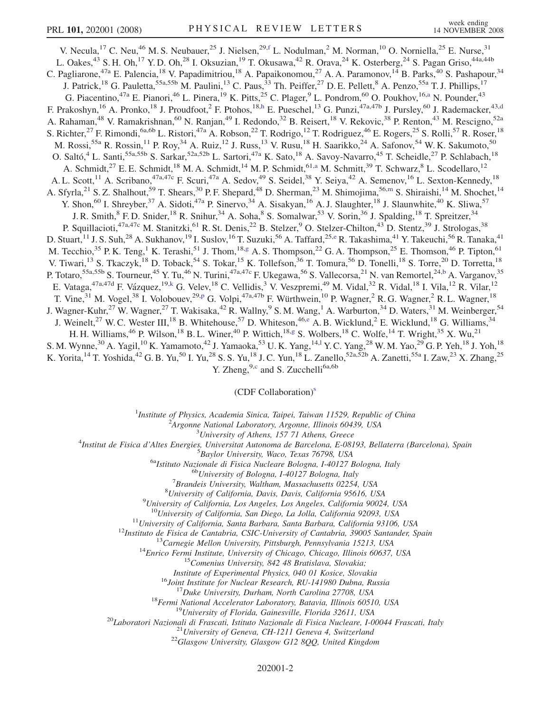V. Necula,<sup>17</sup> C. Neu,<sup>46</sup> M. S. Neubauer,<sup>25</sup> J. Nielsen,<sup>29,[f](#page-6-0)</sup> L. Nodulman,<sup>2</sup> M. Norman,<sup>10</sup> O. Norniella,<sup>25</sup> E. Nurse,<sup>31</sup> L. Oakes,<sup>43</sup> S. H. Oh,<sup>17</sup> Y. D. Oh,<sup>28</sup> I. Oksuzian,<sup>19</sup> T. Okusawa,<sup>42</sup> R. Orava,<sup>24</sup> K. Osterberg,<sup>24</sup> S. Pagan Griso,<sup>44a,44b</sup> C. Pagliarone,<sup>47a</sup> E. Palencia,<sup>18</sup> V. Papadimitriou,<sup>18</sup> A. Papaikonomou,<sup>27</sup> A. A. Paramonov,<sup>14</sup> B. Parks,<sup>40</sup> S. Pashapour,<sup>34</sup> J. Patrick,<sup>18</sup> G. Pauletta,<sup>55a,55b</sup> M. Paulini,<sup>13</sup> C. Paus,<sup>33</sup> Th. Peiffer,<sup>27</sup> D. E. Pellett,<sup>8</sup> A. Penzo,<sup>55a</sup> T. J. Phillips,<sup>17</sup> G. Pi[a](#page-6-0)centino,<sup>47a</sup> E. Pianori,<sup>46</sup> L. Pinera,<sup>19</sup> K. Pitts,<sup>25</sup> C. Plager,<sup>9</sup> L. Pondrom,<sup>60</sup> O. Poukhov,<sup>16,a</sup> N. Pounder,<sup>43</sup> F. Prakoshyn,<sup>16</sup> A. Pronko,<sup>18</sup> J. Proudfoot,<sup>2</sup> F. Ptohos,<sup>18[,h](#page-6-0)</sup> E. Pueschel,<sup>13</sup> G. Punzi,<sup>47a,47b</sup> J. Pursley,<sup>60</sup> J. Ra[d](#page-6-0)emacker,<sup>43,d</sup> A. Rahaman,<sup>48</sup> V. Ramakrishnan,<sup>60</sup> N. Ranjan,<sup>49</sup> I. Redondo,<sup>32</sup> B. Reisert,<sup>18</sup> V. Rekovic,<sup>38</sup> P. Renton,<sup>43</sup> M. Rescigno,<sup>52a</sup> S. Richter,<sup>27</sup> F. Rimondi,<sup>6a,6b</sup> L. Ristori,<sup>47a</sup> A. Robson,<sup>22</sup> T. Rodrigo,<sup>12</sup> T. Rodriguez,<sup>46</sup> E. Rogers,<sup>25</sup> S. Rolli,<sup>57</sup> R. Roser,<sup>18</sup> M. Rossi,<sup>55a</sup> R. Rossin,<sup>11</sup> P. Roy,<sup>34</sup> A. Ruiz,<sup>12</sup> J. Russ,<sup>13</sup> V. Rusu,<sup>18</sup> H. Saarikko,<sup>24</sup> A. Safonov,<sup>54</sup> W. K. Sakumoto,<sup>50</sup> O. Saltó,<sup>4</sup> L. Santi,<sup>55a,55b</sup> S. Sarkar,<sup>52a,52b</sup> L. Sartori,<sup>47a</sup> K. Sato,<sup>18</sup> A. Savoy-Navarro,<sup>45</sup> T. Scheidle,<sup>27</sup> P. Schlabach,<sup>18</sup> A. Schmidt,<sup>27</sup> E. E. Schmidt,<sup>18</sup> M. A. Schmidt,<sup>14</sup> M. P. Schmidt,<sup>61,[a](#page-6-0)</sup> M. Schmitt,<sup>39</sup> T. Schwarz,<sup>8</sup> L. Scodellaro,<sup>12</sup> A. L. Scott,<sup>11</sup> A. Scribano,<sup>47a,47c</sup> F. Scuri,<sup>47a</sup> A. Sedov,<sup>49</sup> S. Seidel,<sup>38</sup> Y. Seiya,<sup>42</sup> A. Semenov,<sup>16</sup> L. Sexton-Kennedy,<sup>18</sup> A. Sfyrla,<sup>21</sup> S. Z. Shalhout,<sup>59</sup> T. Shears,<sup>30</sup> P. F. Shepard,<sup>48</sup> D. Sher[m](#page-6-0)an,<sup>23</sup> M. Shimojima,<sup>56,m</sup> S. Shiraishi,<sup>14</sup> M. Shochet,<sup>14</sup> Y. Shon,<sup>60</sup> I. Shreyber,<sup>37</sup> A. Sidoti,<sup>47a</sup> P. Sinervo,<sup>34</sup> A. Sisakyan,<sup>16</sup> A. J. Slaughter,<sup>18</sup> J. Slaunwhite,<sup>40</sup> K. Sliwa,<sup>57</sup> J. R. Smith, ${}^{8}$  F. D. Snider,  ${}^{18}$  R. Snihur,  ${}^{34}$  A. Soha, ${}^{8}$  S. Somalwar,  ${}^{53}$  V. Sorin,  ${}^{36}$  J. Spalding,  ${}^{18}$  T. Spreitzer,  ${}^{34}$ P. Squillacioti,<sup>47a,47c</sup> M. Stanitzki,<sup>61</sup> R. St. Denis,<sup>22</sup> B. Stelzer,<sup>9</sup> O. Stelzer-Chilton,<sup>43</sup> D. Stentz,<sup>39</sup> J. Strologas,<sup>38</sup> D. Stuart, <sup>11</sup> J. S. Suh, <sup>28</sup> A. Sukhanov, <sup>19</sup> I. Suslov, <sup>16</sup> T. Suzuki, <sup>56</sup> A. Taffard, <sup>25,[e](#page-6-0)</sup> R. Takashima, <sup>41</sup> Y. Takeuchi, <sup>56</sup> R. Tanaka, <sup>41</sup> M. Tecchio,<sup>35</sup> P. K. Ten[g](#page-6-0),<sup>1</sup> K. Terashi,<sup>51</sup> J. Thom,<sup>18,g</sup> A. S. Thompson,<sup>22</sup> G. A. Thompson,<sup>25</sup> E. Thomson,<sup>46</sup> P. Tipton,<sup>61</sup> V. Tiwari,<sup>13</sup> S. Tkaczyk,<sup>18</sup> D. Toback,<sup>54</sup> S. Tokar,<sup>15</sup> K. Tollefson,<sup>36</sup> T. Tomura,<sup>56</sup> D. Tonelli,<sup>18</sup> S. Torre,<sup>20</sup> D. Torretta,<sup>18</sup> P. Totaro,<sup>55a,55[b](#page-6-0)</sup> S. Tourneur,<sup>45</sup> Y. Tu,<sup>46</sup> N. Turini,<sup>47a,47c</sup> F. Ukegawa,<sup>56</sup> S. Vallecorsa,<sup>21</sup> N. van Remortel,<sup>24,b</sup> A. Varganov,<sup>35</sup> E. Vataga,<sup>47a,47d</sup> F. Vázquez,<sup>19,[k](#page-6-0)</sup> G. Velev,<sup>18</sup> C. Vellidis,<sup>3</sup> V. Veszpremi,<sup>49</sup> M. Vidal,<sup>32</sup> R. Vidal,<sup>18</sup> I. Vila,<sup>12</sup> R. Vilar,<sup>12</sup> T. Vine,<sup>31</sup> M. Vogel,<sup>38</sup> I. Volobouev,<sup>29[,p](#page-6-0)</sup> G. Volpi,<sup>47a,47b</sup> F. Würthwein,<sup>10</sup> P. Wagner,<sup>2</sup> R. G. Wagner,<sup>2</sup> R. L. Wagner,<sup>18</sup> J. Wagner-Kuhr,<sup>27</sup> W. Wagner,<sup>27</sup> T. Wakisaka,<sup>42</sup> R. Wallny,<sup>9</sup> S. M. Wang,<sup>1</sup> A. Warburton,<sup>34</sup> D. Waters,<sup>31</sup> M. Weinberger,<sup>54</sup> J. W[e](#page-6-0)inelt,<sup>27</sup> W. C. Wester III,<sup>18</sup> B. Whitehouse,<sup>57</sup> D. Whiteson,<sup>46,e</sup> A. B. Wicklund,<sup>2</sup> E. Wicklund,<sup>18</sup> G. Williams,<sup>34</sup> H. H. Williams,<sup>46</sup> P. Wilson,<sup>18</sup> B. L. Winer,<sup>40</sup> P. Wittich,<sup>18,[g](#page-6-0)</sup> S. Wolbers,<sup>18</sup> C. Wolfe,<sup>14</sup> T. Wright,<sup>35</sup> X. Wu,<sup>21</sup> S. M. Wynne,<sup>30</sup> A. Yagi[l](#page-6-0),<sup>10</sup> K. Yamamoto,<sup>42</sup> J. Yamaoka,<sup>53</sup> U.K. Yang,<sup>14,1</sup> Y.C. Yang,<sup>28</sup> W.M. Yao,<sup>29</sup> G.P. Yeh,<sup>18</sup> J. Yoh,<sup>18</sup> K. Yorita, <sup>14</sup> T. Yoshida, <sup>42</sup> G. B. Yu, <sup>50</sup> I. Yu, <sup>28</sup> S. S. Yu, <sup>18</sup> J. C. Yun, <sup>18</sup> L. Zanello, <sup>52a, 52b</sup> A. Zanetti, <sup>55a</sup> I. Zaw, <sup>23</sup> X. Zhang, <sup>25</sup>

Y. Zheng,  $9, c$  $9, c$  and S. Zucchelli<sup>6a,6b</sup>

## (CDF Collaboration)<sup>s</sup>

<sup>1</sup>Institute of Physics, Academia Sinica, Taipei, Taiwan 11529, Republic of China<br><sup>2</sup><sup>4</sup> Engange National Laboratory, Argonne, Illinois 60430, USA

 $A$ rgonne National Laboratory, Argonne, Illinois 60439, USA<br> $3$ University of Athens, 157 71 Athens, Greece

<sup>3</sup>University of Athens, 157 71 Athens, Greece<sup>3</sup> Theories *Lyniversity* of Athens, 157 71 Athens, Greece<sup>4</sup>

Institut de Fisica d'Altes Energies, Universitat Autonoma de Barcelona, E-08193, Bellaterra (Barcelona), Spain <sup>5</sup>

<sup>5</sup>Baylor University, Waco, Texas 76798, USA<br><sup>6a</sup>Istituto Nazionale di Fisica Nucleare Bologna, I-40127 Bologna, Italy<br><sup>6b</sup>University of Bologna, I-40127 Bologna, Italy

 ${}^{7}$ Brandeis University, Waltham, Massachusetts 02254, USA

<sup>8</sup>University of California, Davis, Davis, California 95616, USA

<sup>9</sup>University of California, Los Angeles, Los Angeles, California 90024, USA<br><sup>10</sup>University of California, San Diego, La Jolla, California 92093, USA

<sup>11</sup>University of California, Santa Barbara, Santa Barbara, California 93106, USA<br><sup>12</sup>Instituto de Fisica de Cantabria, CSIC-University of Cantabria, 39005 Santander, Spain<br><sup>13</sup>Carnegie Mellon University, Pittsburgh, Penn

Institute of Experimental Physics, 040 01 Kosice, Slovakia<br>
<sup>16</sup>Joint Institute for Nuclear Research, RU-141980 Dubna, Russia<br>
<sup>17</sup>Duke University, Durham, North Carolina 27708, USA<br>
<sup>18</sup>Fermi National Accelerator Laborat

## 202001-2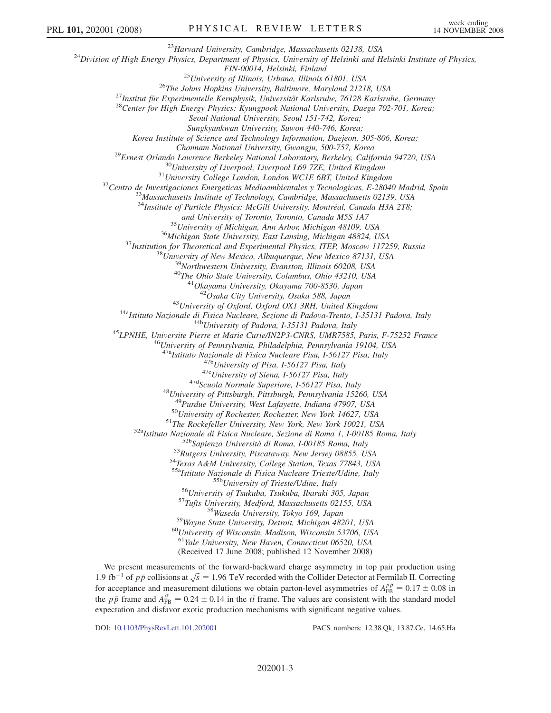<sup>23</sup>Harvard University, Cambridge, Massachusetts 02138, USA<br><sup>24</sup>Division of High Energy Physics, Department of Physics, University of Helsinki and Helsinki Institute of Physics,

FIN-00014, Helsinki, Finland<br><sup>25</sup>University of Illinois, Urbana, Illinois 61801, USA<br><sup>26</sup>The Johns Hopkins University, Baltimore, Maryland 21218, USA<br><sup>27</sup>Institut für Experimentelle Kernphysik, Universität Karlsruhe, 76128

Seoul National University, Seoul 151-742, Korea;

Sungkyunkwan University, Suwon 440-746, Korea;

Korea Institute of Science and Technology Information, Daejeon, 305-806, Korea;

Chonnam National University, Gwangju, 500-757, Korea<br><sup>29</sup>Ernest Orlando Lawrence Berkeley National Laboratory, Berkeley, California 94720, USA<br><sup>30</sup>University of Liverpool, Liverpool L69 7ZE, United Kingdom<br><sup>31</sup>University C

 $34$ Institute of Particle Physics: McGill University, Montréal, Canada H3A 2T8;

and University of Toronto, Toronto, Canada M5S 1A7<br><sup>35</sup>University of Michigan, Ann Arbor, Michigan 48109, USA<br><sup>36</sup>Michigan State University, East Lansing, Michigan 48824, USA<br><sup>37</sup>Institution for Theoretical and Experimenta

<sup>43</sup>University of Oxford, Oxford OX1 3RH, United Kingdom<br><sup>44a</sup>Istituto Nazionale di Fisica Nucleare, Sezione di Padova-Trento, I-35131 Padova, Italy<br><sup>44b</sup>University of Padova, I-35131 Padova, Italy<br><sup>45</sup>LPNHE, Universite P

<sup>47a</sup>Istituto Nazionale di Fisica Nucleare Pisa, 1-56127 Pisa, Italy<br><sup>47b</sup>University of Pisa, 1-56127 Pisa, Italy<br><sup>47c</sup>University of Siena, 1-56127 Pisa, Italy<br><sup>47d</sup>Scuola Normale Superiore, 1-56127 Pisa, Italy<br><sup>48</sup>Univer

<sup>50</sup>University of Rochester, Rochester, New York 14627, USA<br><sup>51</sup>The Rockefeller University, New York, New York 10021, USA<br><sup>52a</sup>Istituto Nazionale di Fisica Nucleare, Sezione di Roma 1, I-00185 Roma, Italy<br><sup>52b</sup>Sapienza Un

<sup>55b</sup>University of Trieste/Udine, Italy<br><sup>56</sup>University of Tsukuba, Tsukuba, Ibaraki 305, Japan<br><sup>57</sup>Tufts University, Medford, Massachusetts 02155, USA<br><sup>58</sup>Wayne State University, Detroit, Michigan 48201, USA<br><sup>60</sup>Universit

<sup>61</sup>Yale University, New Haven, Connecticut 06520, USA

(Received 17 June 2008; published 12 November 2008)

We present measurements of the forward-backward charge asymmetry in top pair production using 1.9 fb<sup>-1</sup> of  $p\bar{p}$  collisions at  $\sqrt{s} = 1.96$  TeV recorded with the Collider Detector at Fermilab II. Correcting for acceptance and measurement dilutions we obtain parto level asymmetries of  $A^{p\bar{p}} = 0.17 \pm 0.08$  in for acceptance and measurement dilutions we obtain parton-level asymmetries of  $A_{FB}^{p\bar{p}} = 0.17 \pm 0.08$  in the n<sub>n</sub> frame and  $A^{t\bar{t}} = 0.24 \pm 0.14$  in the  $t\bar{t}$  frame. The values are consistent with the standard mo the  $p\bar{p}$  frame and  $A_{FB}^{t\bar{t}} = 0.24 \pm 0.14$  in the  $t\bar{t}$  frame. The values are consistent with the standard model<br>expectation and disfavor exotic production mechanisms with significant negative values expectation and disfavor exotic production mechanisms with significant negative values.

DOI: [10.1103/PhysRevLett.101.202001](http://dx.doi.org/10.1103/PhysRevLett.101.202001) PACS numbers: 12.38.Qk, 13.87.Ce, 14.65.Ha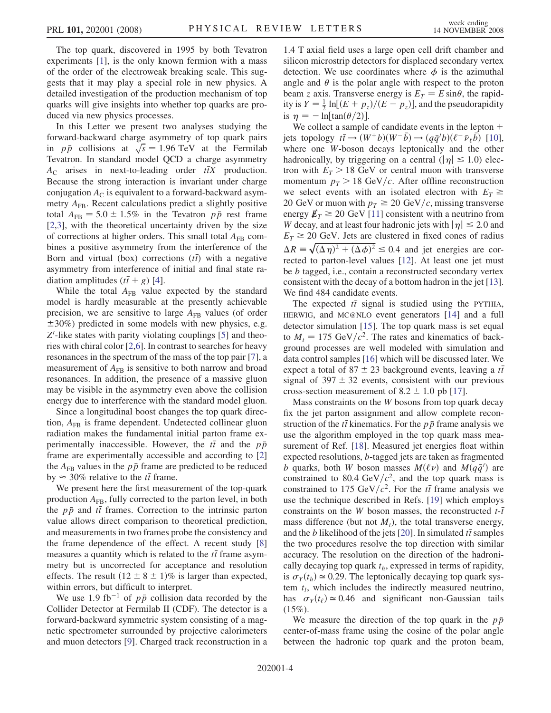The top quark, discovered in 1995 by both Tevatron experiments [1], is the only known fermion with a mass of the order of the electroweak breaking scale. This suggests that it may play a special role in new physics. A detailed investigation of the production mechanism of top quarks will give insights into whether top quarks are produced via new physics processes.

In this Letter we present two analyses studying the forward-backward charge asymmetry of top quark pairs in  $p\bar{p}$  collisions at  $\sqrt{s} = 1.96$  TeV at the Fermilab<br>Tevatron In standard model OCD a charge asymmetry Tevatron. In standard model QCD a charge asymmetry  $A_C$  arises in next-to-leading order  $t\bar{t}X$  production. Because the strong interaction is invariant under charge conjugation  $A<sub>C</sub>$  is equivalent to a forward-backward asymmetry  $A_{FB}$ . Recent calculations predict a slightly positive total  $A_{FB} = 5.0 \pm 1.5\%$  in the Tevatron  $p\bar{p}$  rest frame<br>[2.3] with the theoretical uncertainty driven by the size [2,3], with the theoretical uncertainty driven by the size of corrections at higher orders. This small total  $A_{FB}$  combines a positive asymmetry from the interference of the Born and virtual (box) corrections  $(t\bar{t})$  with a negative<br>asymmetry from interference of initial and final state raasymmetry from interference of initial and final state radiation amplitudes  $(t\bar{t} + g)$  [4].<br>While the total  $A_{\text{FB}}$  value

While the total  $A_{FB}$  value expected by the standard model is hardly measurable at the presently achievable precision, we are sensitive to large  $A_{FB}$  values (of order  $\pm 30\%$ ) predicted in some models with new physics, e.g.  $Z'$ -like states with parity violating couplings [5] and theo-<br>ries with chiral color [2.6]. In contrast to searches for heavy ries with chiral color [2,6]. In contrast to searches for heavy resonances in the spectrum of the mass of the top pair [7], a measurement of  $A_{FB}$  is sensitive to both narrow and broad resonances. In addition, the presence of a massive gluon may be visible in the asymmetry even above the collision energy due to interference with the standard model gluon.

Since a longitudinal boost changes the top quark direction,  $A_{FB}$  is frame dependent. Undetected collinear gluon radiation makes the fundamental initial parton frame experimentally inaccessible. However, the  $t\bar{t}$  and the  $p\bar{p}$ <br>frame are experimentally accessible and according to [2] frame are experimentally accessible and according to [2] the  $A_{FB}$  values in the  $p\bar{p}$  frame are predicted to be reduced by  $\approx 30\%$  relative to the *tt* frame.<br>We present here the first measure

We present here the first measurement of the top-quark production  $A_{FB}$ , fully corrected to the parton level, in both the  $p\bar{p}$  and  $t\bar{t}$  frames. Correction to the intrinsic parton<br>value allows direct comparison to theoretical prediction value allows direct comparison to theoretical prediction, and measurements in two frames probe the consistency and the frame dependence of the effect. A recent study [8] measures a quantity which is related to the  $t\bar{t}$  frame asymmetry but is uncorrected for acceptance and resolution metry but is uncorrected for acceptance and resolution effects. The result  $(12 \pm 8 \pm 1)\%$  is larger than expected, within errors, but difficult to interpret.

We use 1.9 fb<sup>-1</sup> of  $p\bar{p}$  collision data recorded by the Collider Detector at Fermilab II (CDF). The detector is a forward-backward symmetric system consisting of a magnetic spectrometer surrounded by projective calorimeters and muon detectors [9]. Charged track reconstruction in a

1.4 T axial field uses a large open cell drift chamber and silicon microstrip detectors for displaced secondary vertex detection. We use coordinates where  $\phi$  is the azimuthal angle and  $\theta$  is the polar angle with respect to the proton<br>beam z axis. Transverse energy is  $F_x = F \sin \theta$  the rapidbeam z axis. Transverse energy is  $E_T = E \sin \theta$ , the rapid-<br>ity is  $Y = \frac{1}{\ln |F(x + n)|}$  ( $F = n$ )] and the pseudorapidity ity is  $Y = \frac{1}{2} \ln[(E + p_z)/(E - p_z)]$ , and the pseudorapidity<br>is  $m = -\ln[\tan(\theta/2)]$ 

is  $\eta = -\ln[\tan(\theta/2)].$ <br>We collect a sample We collect a sample of candidate events in the lepton  $+$ jets topology  $t\bar{t} \to (W^+b)(W^-\bar{b}) \to (q\bar{q}^{\prime}b)(\ell^-\bar{\nu}_{\ell}\bar{b})$  [10],<br>where one W-boson decays leptonically and the other where one W-boson decays leptonically and the other hadronically, by triggering on a central  $(|\eta| \leq 1.0)$  electron with  $E_T > 18$  GeV or central muon with transverse momentum  $p_T > 18$  GeV/c. After offline reconstruction we select events with an isolated electron with  $E_T \geq$ 20 GeV or muon with  $p_T \geq 20$  GeV/c, missing transverse energy  $E_T \geq 20$  GeV [11] consistent with a neutrino from W decay, and at least four hadronic jets with  $|\eta| \le 2.0$  and  $E_T \geq 20$  GeV. Jets are clustered in fixed cones of radius  $\Delta R = \sqrt{(\Delta \eta)^2 + (\Delta \phi)^2} \le 0.4$  and jet energies are cor-<br>rected to parton-level values [12]. At least one jet must  $\Delta R \equiv \sqrt{\Delta \eta}^2 + (\Delta \phi)^2 \leq 0.4$  and jet energies are corrected to parton-level values [12]. At least one jet must be b tagged, i.e., contain a reconstructed secondary vertex consistent with the decay of a bottom hadron in the jet [13]. We find 484 candidate events.

The expected  $t\bar{t}$  signal is studied using the PYTHIA,<br>RWIG and MC@NLO event generators [14] and a full HERWIG, and MC@NLO event generators [14] and a full detector simulation [15]. The top quark mass is set equal to  $M_t = 175 \text{ GeV}/c^2$ . The rates and kinematics of background processes are well modeled with simulation and data control samples [16] which will be discussed later. We expect a total of  $87 \pm 23$  background events, leaving a  $t\bar{t}$  signal of  $397 + 32$  events, consistent with our previous signal of  $397 \pm 32$  events, consistent with our previous cross-section measurement of  $8.2 \pm 1.0$  pb [17].<br>Mass constraints on the W bosons from top gu

Mass constraints on the W bosons from top quark decay fix the jet parton assignment and allow complete reconstruction of the *tt* kinematics. For the  $p\bar{p}$  frame analysis we<br>use the algorithm employed in the top quark mass meause the algorithm employed in the top quark mass measurement of Ref. [18]. Measured jet energies float within expected resolutions, b-tagged jets are taken as fragmented b quarks, both W boson masses  $M(\ell \nu)$  and  $M(q\bar{q}')$  are<br>constrained to 80.4 GeV/ $c^2$  and the top quark mass is constrained to 80.4 GeV/ $c^2$ , and the top quark mass is constrained to 175 GeV/ $c^2$ . For the *tt* frame analysis we<br>use the technique described in Refs. [19] which employs use the technique described in Refs. [19] which employs constraints on the W boson masses, the reconstructed  $t$ - $\bar{t}$  mass difference (but not M) the total transverse energy mass difference (but not  $M_t$ ), the total transverse energy, and the *b* likelihood of the jets [20]. In simulated  $t\bar{t}$  samples the two procedures resolve the top direction with similar the two procedures resolve the top direction with similar accuracy. The resolution on the direction of the hadronically decaying top quark  $t<sub>h</sub>$ , expressed in terms of rapidity, is  $\sigma_Y(t_h) \approx 0.29$ . The leptonically decaying top quark system  $t_l$ , which includes the indirectly measured neutrino, has  $\sigma_Y(t_\ell) \approx 0.46$  and significant non-Gaussian tails (15%).

We measure the direction of the top quark in the  $p\bar{p}$ center-of-mass frame using the cosine of the polar angle between the hadronic top quark and the proton beam,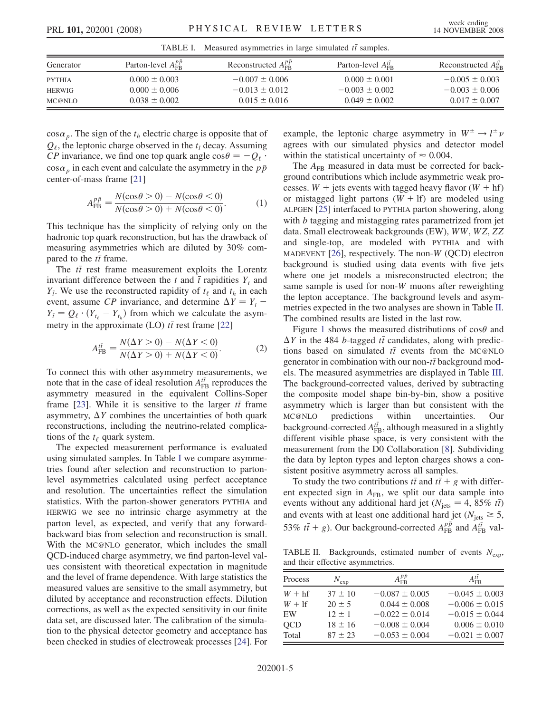| Measured asymmetries in large simulated $t\bar{t}$ samples.<br>TABLE I. |                                   |                                    |                                   |                                    |  |  |  |
|-------------------------------------------------------------------------|-----------------------------------|------------------------------------|-----------------------------------|------------------------------------|--|--|--|
| Generator                                                               | Parton-level $A_{\text{FR}}^{pp}$ | Reconstructed $A_{\text{FR}}^{pp}$ | Parton-level $A_{\text{FR}}^{tt}$ | Reconstructed $A_{\text{FR}}^{tt}$ |  |  |  |
| <b>PYTHIA</b>                                                           | $0.000 \pm 0.003$                 | $-0.007 \pm 0.006$                 | $0.000 \pm 0.001$                 | $-0.005 \pm 0.003$                 |  |  |  |
| HERWIG                                                                  | $0.000 \pm 0.006$                 | $-0.013 \pm 0.012$                 | $-0.003 \pm 0.002$                | $-0.003 \pm 0.006$                 |  |  |  |
| MC@NLO                                                                  | $0.038 \pm 0.002$                 | $0.015 \pm 0.016$                  | $0.049 \pm 0.002$                 | $0.017 \pm 0.007$                  |  |  |  |

 $\cos \alpha_p$ . The sign of the  $t_h$  electric charge is opposite that of  $Q_{\ell}$ , the leptonic charge observed in the  $t_l$  decay. Assuming CP invariance, we find one top quark angle  $\cos\theta = -Q_\ell$ .  $\cos \alpha_p$  in each event and calculate the asymmetry in the  $p\bar{p}$ center-of-mass frame [21]

$$
A_{\rm FB}^{p\bar{p}} = \frac{N(\cos\theta > 0) - N(\cos\theta < 0)}{N(\cos\theta > 0) + N(\cos\theta < 0)}.
$$
 (1)

This technique has the simplicity of relying only on the hadronic top quark reconstruction, but has the drawback of measuring asymmetries which are diluted by 30% compared to the  $t\bar{t}$  frame.<br>The  $t\bar{t}$  rest frame.

The  $t\bar{t}$  rest frame measurement exploits the Lorentz variant difference between the t and  $\bar{t}$  ranidities Y, and invariant difference between the t and  $\bar{t}$  rapidities  $Y_t$  and  $Y_t$ . We use the reconstructed rapidity of  $t_0$  and  $t_0$  in each event, assume CP invariance, and determine  $\Delta Y = Y_t - Y_t = Q_{t+1}(Y_t - Y_t)$  from which we calculate the asym- $Y_{\bar{t}}$ . We use the reconstructed rapidity of  $t_{\ell}$  and  $t_h$  in each metry in the approximate (LO)  $t\bar{t}$  rest frame [22]  $Y_{\bar{i}} = Q_{\ell} \cdot (Y_{t_{\ell}} - Y_{t_{h}})$  from which we calculate the asym-

$$
A_{\text{FB}}^{t\bar{t}} = \frac{N(\Delta Y > 0) - N(\Delta Y < 0)}{N(\Delta Y > 0) + N(\Delta Y < 0)}.
$$
 (2)

To connect this with other asymmetry measurements, we note that in the case of ideal resolution  $A_{FB}^{t\bar{t}}$  reproduces the assummetry measured in the equivalent Collins-Soper asymmetry measured in the equivalent Collins-Soper frame [23]. While it is sensitive to the larger  $t\bar{t}$  frame<br>asymmetry  $\Delta Y$  combines the uncertainties of both quark asymmetry,  $\Delta Y$  combines the uncertainties of both quark<br>reconstructions, including the neutrino-related complicareconstructions, including the neutrino-related complications of the  $t_{\ell}$  quark system.

The expected measurement performance is evaluated using simulated samples. In Table I we compare asymmetries found after selection and reconstruction to partonlevel asymmetries calculated using perfect acceptance and resolution. The uncertainties reflect the simulation statistics. With the parton-shower generators PYTHIA and HERWIG we see no intrinsic charge asymmetry at the parton level, as expected, and verify that any forwardbackward bias from selection and reconstruction is small. With the MC@NLO generator, which includes the small QCD-induced charge asymmetry, we find parton-level values consistent with theoretical expectation in magnitude and the level of frame dependence. With large statistics the measured values are sensitive to the small asymmetry, but diluted by acceptance and reconstruction effects. Dilution corrections, as well as the expected sensitivity in our finite data set, are discussed later. The calibration of the simulation to the physical detector geometry and acceptance has been checked in studies of electroweak processes [24]. For

example, the leptonic charge asymmetry in  $W^{\pm} \rightarrow l^{\pm}$ <br>agrees with our simulated physics and detector mode agrees with our simulated physics and detector model within the statistical uncertainty of  $\approx 0.004$ .

The  $A_{FB}$  measured in data must be corrected for background contributions which include asymmetric weak processes.  $W$  + jets events with tagged heavy flavor ( $W$  + hf) or mistagged light partons  $(W + 1f)$  are modeled using ALPGEN [25] interfaced to PYTHIA parton showering, along with *b* tagging and mistagging rates parametrized from jet data. Small electroweak backgrounds (EW), WW, WZ, ZZ and single-top, are modeled with PYTHIA and with MADEVENT  $[26]$ , respectively. The non-W (QCD) electron background is studied using data events with five jets where one jet models a misreconstructed electron; the same sample is used for non-W muons after reweighting the lepton acceptance. The background levels and asymmetries expected in the two analyses are shown in Table II. The combined results are listed in the last row.

Figure [1](#page-5-0) shows the measured distributions of  $\cos\theta$  and  $V$  in the 484 h-tagged  $t\bar{t}$  candidates, along with predic- $\Delta Y$  in the 484 *b*-tagged *tt* candidates, along with predictions based on simulated *tt* events from the MC@NLO tions based on simulated  $t\bar{t}$  events from the MC@NLO<br>generator in combination with our non- $t\bar{t}$  background modgenerator in combination with our non- $t\bar{t}$  background mod-<br>els. The measured asymmetries are displayed in Table III els. The measured asymmetries are displayed in Table [III](#page-5-0). The background-corrected values, derived by subtracting the composite model shape bin-by-bin, show a positive asymmetry which is larger than but consistent with the MC@NLO predictions within uncertainties. Our background-corrected  $A_{\text{FB}}^{t\bar{t}}$ , although measured in a slightly different visible phase space is very consistent with the different visible phase space, is very consistent with the measurement from the D0 Collaboration [8]. Subdividing the data by lepton types and lepton charges shows a consistent positive asymmetry across all samples.

To study the two contributions  $t\bar{t}$  and  $t\bar{t} + g$  with differ-<br>t expected sign in  $A_{\text{FB}}$ , we split our data sample into ent expected sign in  $A_{FB}$ , we split our data sample into events without any additional hard jet  $(N_{\text{jets}} = 4, 85\% \text{ ft})$ <br>and events with at least one additional hard jet  $(N_{\text{eff}} > 5$ and events with at least one additional hard jet ( $N_{\text{jets}} \geq 5$ , 53%  $t\bar{t} + g$ ). Our background-corrected  $A_{FB}^{p\bar{p}}$  and  $A_{FB}^{t\bar{t}}$  val-

TABLE II. Backgrounds, estimated number of events  $N_{exp}$ , and their effective asymmetries.

| Process    | $N_{\rm exp}$ | $A_{\text{FB}}^{pp}$ | $A_{\text{FR}}^{tt}$ |
|------------|---------------|----------------------|----------------------|
| $W + hf$   | $37 \pm 10$   | $-0.087 \pm 0.005$   | $-0.045 \pm 0.003$   |
| $W+1$ f    | $20 + 5$      | $0.044 \pm 0.008$    | $-0.006 \pm 0.015$   |
| EW         | $12 + 1$      | $-0.022 \pm 0.014$   | $-0.015 \pm 0.044$   |
| <b>OCD</b> | $18 \pm 16$   | $-0.008 \pm 0.004$   | $0.006 \pm 0.010$    |
| Total      | $87 + 23$     | $-0.053 \pm 0.004$   | $-0.021 \pm 0.007$   |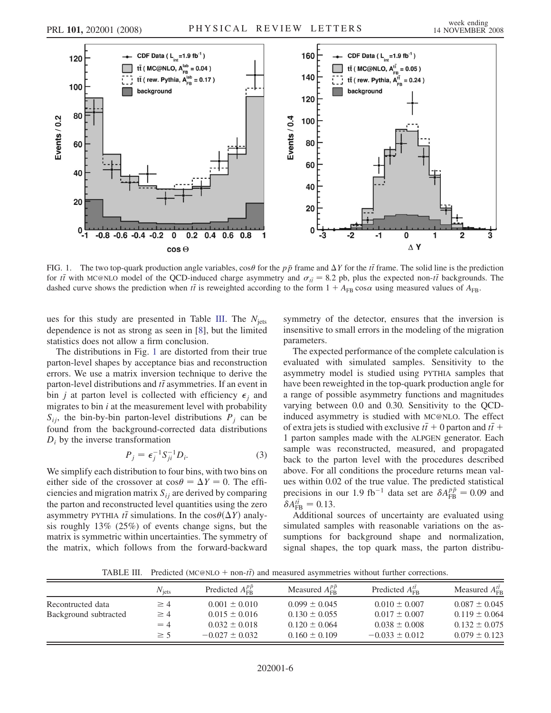<span id="page-5-0"></span>

FIG. 1. The two top-quark production angle variables,  $\cos\theta$  for the p<sub>p</sub> frame and  $\Delta Y$  for the t<sub>i</sub> frame. The solid line is the prediction for the text of the production of the CCD-induced charge asymmetry and  $\sigma_z = 8$ for *tt* with MC@NLO model of the QCD-induced charge asymmetry and  $\sigma_{t\bar{t}} = 8.2$  pb, plus the expected non-*tt* backgrounds. The dashed curve shows the prediction when *tt* is reweighted according to the form  $1 + A_{\text{max$ dashed curve shows the prediction when  $t\bar{t}$  is reweighted according to the form  $1 + A_{FB} \cos \alpha$  using measured values of  $A_{FB}$ .

ues for this study are presented in Table III. The  $N_{\text{jets}}$ dependence is not as strong as seen in [8], but the limited statistics does not allow a firm conclusion.

The distributions in Fig. 1 are distorted from their true parton-level shapes by acceptance bias and reconstruction errors. We use a matrix inversion technique to derive the parton-level distributions and  $t\bar{t}$  asymmetries. If an event in<br>hin *i* at parton level is collected with efficiency  $\epsilon$ , and bin *j* at parton level is collected with efficiency  $\epsilon_i$  and migrates to bin  $i$  at the measurement level with probability  $S_{ij}$ , the bin-by-bin parton-level distributions  $P_j$  can be found from the background-corrected data distributions  $D_i$  by the inverse transformation

$$
P_j = \epsilon_j^{-1} S_{ji}^{-1} D_i.
$$
 (3)

We simplify each distribution to four bins, with two bins on either side of the crossover at  $\cos\theta = \Delta Y = 0$ . The effi-<br>ciencies and migration matrix  $S_{\text{tot}}$  are derived by comparing ciencies and migration matrix  $S_{ij}$  are derived by comparing the parton and reconstructed level quantities using the zero asymmetry PYTHIA  $t\bar{t}$  simulations. In the  $\cos\theta(\Delta Y)$  analy-<br>six roughly 13% (25%) of events change signs, but the sis roughly 13% (25%) of events change signs, but the matrix is symmetric within uncertainties. The symmetry of the matrix, which follows from the forward-backward symmetry of the detector, ensures that the inversion is insensitive to small errors in the modeling of the migration parameters.

The expected performance of the complete calculation is evaluated with simulated samples. Sensitivity to the asymmetry model is studied using PYTHIA samples that have been reweighted in the top-quark production angle for a range of possible asymmetry functions and magnitudes varying between 0.0 and 0.30. Sensitivity to the QCDinduced asymmetry is studied with MC@NLO. The effect of extra jets is studied with exclusive  $t\bar{t} + 0$  parton and  $t\bar{t} + 1$  parton samples made with the ALPGEN generator. Each 1 parton samples made with the ALPGEN generator. Each sample was reconstructed, measured, and propagated back to the parton level with the procedures described above. For all conditions the procedure returns mean values within 0.02 of the true value. The predicted statistical precisions in our 1.9 fb<sup>-1</sup> data set are  $\delta A_{\text{FB}}^{p\bar{p}} = 0.09$  and  $\delta A_{\text{FB}}^{t\bar{t}} = 0.13$  $\delta A_{\text{FB}}^{t\bar{t}} = 0.13.$ <br>Additional

Additional sources of uncertainty are evaluated using simulated samples with reasonable variations on the assumptions for background shape and normalization, signal shapes, the top quark mass, the parton distribu-

TABLE III. Predicted  $(MC@NLO + non-t\bar{t})$  and measured asymmetries without further corrections.

|                       | $N_{\text{itst}}$ | Predicted $A_{\text{FB}}^{pp}$ | Measured $A_{\text{FR}}^{pp}$ | Predicted $A_{\text{FB}}^{tt}$ | Measured $A_{\text{FR}}^{tt}$ |
|-----------------------|-------------------|--------------------------------|-------------------------------|--------------------------------|-------------------------------|
| Recontructed data     | $\geq 4$          | $0.001 \pm 0.010$              | $0.099 \pm 0.045$             | $0.010 \pm 0.007$              | $0.087 \pm 0.045$             |
| Background subtracted | $\geq 4$          | $0.015 \pm 0.016$              | $0.130 \pm 0.055$             | $0.017 \pm 0.007$              | $0.119 \pm 0.064$             |
|                       | $=4$              | $0.032 \pm 0.018$              | $0.120 \pm 0.064$             | $0.038 \pm 0.008$              | $0.132 \pm 0.075$             |
|                       | $\geq$ 5          | $-0.027 \pm 0.032$             | $0.160 \pm 0.109$             | $-0.033 \pm 0.012$             | $0.079 \pm 0.123$             |
|                       |                   |                                |                               |                                |                               |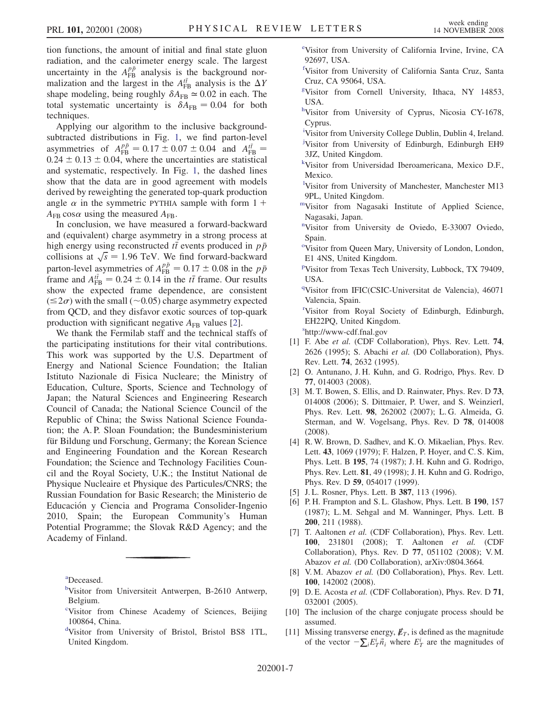<span id="page-6-0"></span>tion functions, the amount of initial and final state gluon radiation, and the calorimeter energy scale. The largest uncertainty in the  $A_{FB}^{p\bar{p}}$  analysis is the background nor-<br>malization and the largest in the  $A^{t\bar{t}}$  analysis is the AV malization and the largest in the  $A_{\text{FB}}^{t\bar{t}}$  analysis is the  $\Delta$ <br>shape modeling being roughly  $\delta A_{\text{FB}} \approx 0.02$  in each. The shape modeling, being roughly  $\delta A_{FB} \simeq 0.02$  in each. The<br>total systematic uncertainty is  $\delta A_{FB} = 0.04$  for both total systematic uncertainty is  $\delta A_{FB} = 0.04$  for both techniques.

Applying our algorithm to the inclusive backgroundsubtracted distributions in Fig. [1](#page-5-0), we find parton-level asymmetries of  $A_{FB}^{p\bar{p}} = 0.17 \pm 0.07 \pm 0.04$  and  $A_{FB}^{t\bar{t}} = 0.24 \pm 0.13 \pm 0.04$  where the uncertainties are statistical  $0.24 \pm 0.13 \pm 0.04$ , where the uncertainties are statistical<br>and systematic respectively In Fig. 1, the dashed lines and systematic, respectively. In Fig. [1](#page-5-0), the dashed lines show that the data are in good agreement with models derived by reweighting the generated top-quark production angle  $\alpha$  in the symmetric PYTHIA sample with form 1 +  $A_{\text{FB}}$  cos  $\alpha$  using the measured  $A_{\text{FB}}$ .

In conclusion, we have measured a forward-backward and (equivalent) charge asymmetry in a strong process at high energy using reconstructed  $t\bar{t}$  events produced in  $p\bar{p}$ <br>collisions at  $\sqrt{s} = 1.96$  TeV. We find forward-backward collisions at  $\sqrt{s} = 1.96$  TeV. We find forward-backward<br>parton-level asymmetries of  $A^{p\bar{p}} = 0.17 \pm 0.08$  in the n<sub>p</sub> parton-level asymmetries of  $A_{FB}^{p\bar{p}} = 0.17 \pm 0.08$  in the  $p\bar{p}$ <br>frame and  $A^{t\bar{t}} = 0.24 \pm 0.14$  in the  $t\bar{t}$  frame. Our results frame and  $A_{\text{FB}}^{t\bar{t}} = 0.24 \pm 0.14$  in the *tt* frame. Our results<br>show the expected frame dependence are consistent show the expected frame dependence, are consistent  $(\leq 2\sigma)$  with the small ( $\sim 0.05$ ) charge asymmetry expected from QCD, and they disfavor exotic sources of top-quark production with significant negative  $A_{FB}$  values [2].

We thank the Fermilab staff and the technical staffs of the participating institutions for their vital contributions. This work was supported by the U.S. Department of Energy and National Science Foundation; the Italian Istituto Nazionale di Fisica Nucleare; the Ministry of Education, Culture, Sports, Science and Technology of Japan; the Natural Sciences and Engineering Research Council of Canada; the National Science Council of the Republic of China; the Swiss National Science Foundation; the A. P. Sloan Foundation; the Bundesministerium für Bildung und Forschung, Germany; the Korean Science and Engineering Foundation and the Korean Research Foundation; the Science and Technology Facilities Council and the Royal Society, U.K.; the Institut National de Physique Nucleaire et Physique des Particules/CNRS; the Russian Foundation for Basic Research; the Ministerio de Educación y Ciencia and Programa Consolider-Ingenio 2010, Spain; the European Community's Human Potential Programme; the Slovak R&D Agency; and the Academy of Finland.

a Deceased.

- <sup>b</sup>Visitor from Universiteit Antwerpen, B-2610 Antwerp, Belgium.
- <sup>c</sup>Visitor from Chinese Academy of Sciences, Beijing 100864, China.
- d Visitor from University of Bristol, Bristol BS8 1TL, United Kingdom.

e Visitor from University of California Irvine, Irvine, CA 92697, USA.

- f Visitor from University of California Santa Cruz, Santa Cruz, CA 95064, USA.
- g Visitor from Cornell University, Ithaca, NY 14853, USA.
- hVisitor from University of Cyprus, Nicosia CY-1678, Cyprus.
- <sup>i</sup>Visitor from University College Dublin, Dublin 4, Ireland. <sup>j</sup>Visitor from University of Edinburgh, Edinburgh EH9 3JZ, United Kingdom.
- k Visitor from Universidad Iberoamericana, Mexico D.F., Mexico.
- l Visitor from University of Manchester, Manchester M13 9PL, United Kingdom.
- mVisitor from Nagasaki Institute of Applied Science, Nagasaki, Japan.
- <sup>n</sup>Visitor from University de Oviedo, E-33007 Oviedo, Spain.
- <sup>o</sup>Visitor from Queen Mary, University of London, London, E1 4NS, United Kingdom.
- p Visitor from Texas Tech University, Lubbock, TX 79409, USA.
- <sup>q</sup>Visitor from IFIC(CSIC-Universitat de Valencia), 46071 Valencia, Spain.

r Visitor from Royal Society of Edinburgh, Edinburgh, EH22PQ, United Kingdom.

s http://www-cdf.fnal.gov

- [1] F. Abe et al. (CDF Collaboration), Phys. Rev. Lett. 74, 2626 (1995); S. Abachi et al. (D0 Collaboration), Phys. Rev. Lett. 74, 2632 (1995).
- [2] O. Antunano, J. H. Kuhn, and G. Rodrigo, Phys. Rev. D 77, 014003 (2008).
- [3] M. T. Bowen, S. Ellis, and D. Rainwater, Phys. Rev. D 73, 014008 (2006); S. Dittmaier, P. Uwer, and S. Weinzierl, Phys. Rev. Lett. 98, 262002 (2007); L. G. Almeida, G. Sterman, and W. Vogelsang, Phys. Rev. D 78, 014008 (2008).
- [4] R. W. Brown, D. Sadhev, and K. O. Mikaelian, Phys. Rev. Lett. 43, 1069 (1979); F. Halzen, P. Hoyer, and C. S. Kim, Phys. Lett. B 195, 74 (1987); J. H. Kuhn and G. Rodrigo, Phys. Rev. Lett. 81, 49 (1998); J. H. Kuhn and G. Rodrigo, Phys. Rev. D 59, 054017 (1999).
- [5] J.L. Rosner, Phys. Lett. B 387, 113 (1996).
- [6] P.H. Frampton and S.L. Glashow, Phys. Lett. B 190, 157 (1987); L. M. Sehgal and M. Wanninger, Phys. Lett. B 200, 211 (1988).
- [7] T. Aaltonen et al. (CDF Collaboration), Phys. Rev. Lett. 100, 231801 (2008); T. Aaltonen et al. (CDF Collaboration), Phys. Rev. D 77, 051102 (2008); V. M. Abazov et al. (D0 Collaboration), arXiv:0804.3664.
- [8] V. M. Abazov et al. (D0 Collaboration), Phys. Rev. Lett. 100, 142002 (2008).
- [9] D. E. Acosta et al. (CDF Collaboration), Phys. Rev. D 71, 032001 (2005).
- [10] The inclusion of the charge conjugate process should be assumed.
- [11] Missing transverse energy,  $\not\hspace{-.15cm}/_{T}$ , is defined as the magnitude of the vector  $-\sum_{i} E_T^i \vec{n}_i$  where  $E_T^i$  are the magnitudes of